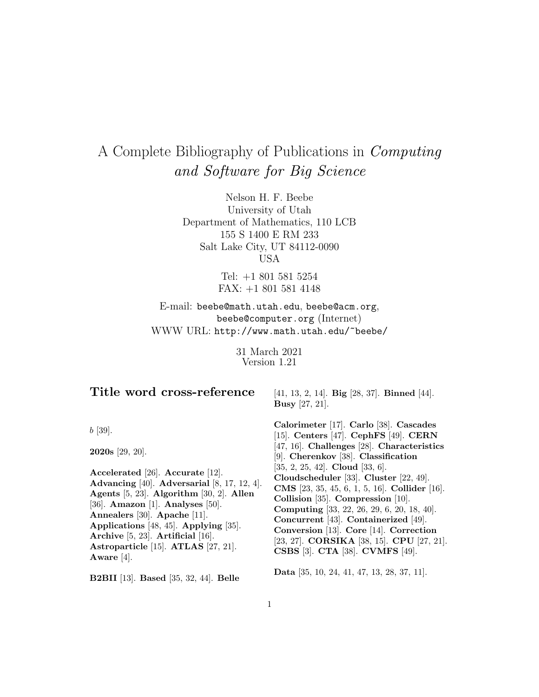# A Complete Bibliography of Publications in Computing and Software for Big Science

Nelson H. F. Beebe University of Utah Department of Mathematics, 110 LCB 155 S 1400 E RM 233 Salt Lake City, UT 84112-0090 USA

> Tel: +1 801 581 5254 FAX: +1 801 581 4148

E-mail: beebe@math.utah.edu, beebe@acm.org, beebe@computer.org (Internet) WWW URL: http://www.math.utah.edu/~beebe/

> 31 March 2021 Version 1.21

# **Title word cross-reference**

b [39].

**2020s** [29, 20].

**Accelerated** [26]. **Accurate** [12]. **Advancing** [40]. **Adversarial** [8, 17, 12, 4]. **Agents** [5, 23]. **Algorithm** [30, 2]. **Allen** [36]. **Amazon** [1]. **Analyses** [50]. **Annealers** [30]. **Apache** [11]. **Applications** [48, 45]. **Applying** [35]. **Archive** [5, 23]. **Artificial** [16]. **Astroparticle** [15]. **ATLAS** [27, 21]. **Aware** [4].

**B2BII** [13]. **Based** [35, 32, 44]. **Belle**

[41, 13, 2, 14]. **Big** [28, 37]. **Binned** [44]. **Busy** [27, 21].

**Calorimeter** [17]. **Carlo** [38]. **Cascades** [15]. **Centers** [47]. **CephFS** [49]. **CERN** [47, 16]. **Challenges** [28]. **Characteristics** [9]. **Cherenkov** [38]. **Classification** [35, 2, 25, 42]. **Cloud** [33, 6]. **Cloudscheduler** [33]. **Cluster** [22, 49]. **CMS** [23, 35, 45, 6, 1, 5, 16]. **Collider** [16]. **Collision** [35]. **Compression** [10]. **Computing** [33, 22, 26, 29, 6, 20, 18, 40]. **Concurrent** [43]. **Containerized** [49]. **Conversion** [13]. **Core** [14]. **Correction** [23, 27]. **CORSIKA** [38, 15]. **CPU** [27, 21]. **CSBS** [3]. **CTA** [38]. **CVMFS** [49].

**Data** [35, 10, 24, 41, 47, 13, 28, 37, 11].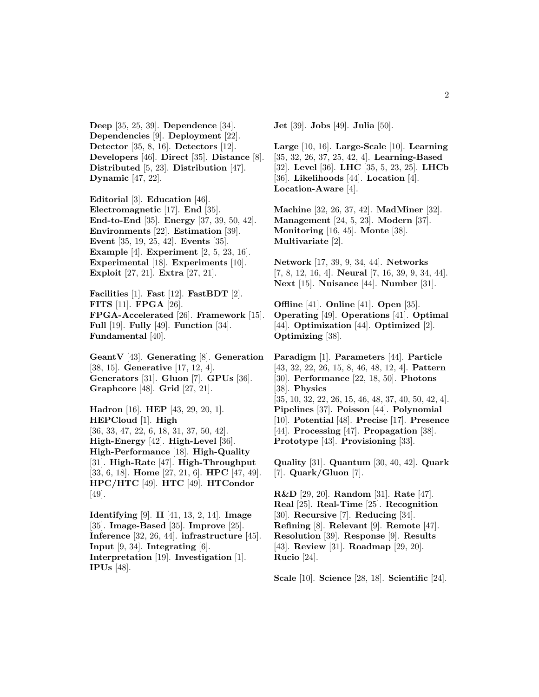**Deep** [35, 25, 39]. **Dependence** [34]. **Dependencies** [9]. **Deployment** [22]. **Detector** [35, 8, 16]. **Detectors** [12]. **Developers** [46]. **Direct** [35]. **Distance** [8]. **Distributed** [5, 23]. **Distribution** [47]. **Dynamic** [47, 22].

**Editorial** [3]. **Education** [46]. **Electromagnetic** [17]. **End** [35]. **End-to-End** [35]. **Energy** [37, 39, 50, 42]. **Environments** [22]. **Estimation** [39]. **Event** [35, 19, 25, 42]. **Events** [35]. **Example** [4]. **Experiment** [2, 5, 23, 16]. **Experimental** [18]. **Experiments** [10]. **Exploit** [27, 21]. **Extra** [27, 21].

**Facilities** [1]. **Fast** [12]. **FastBDT** [2]. **FITS** [11]. **FPGA** [26]. **FPGA-Accelerated** [26]. **Framework** [15]. **Full** [19]. **Fully** [49]. **Function** [34]. **Fundamental** [40].

**GeantV** [43]. **Generating** [8]. **Generation** [38, 15]. **Generative** [17, 12, 4]. **Generators** [31]. **Gluon** [7]. **GPUs** [36]. **Graphcore** [48]. **Grid** [27, 21].

**Hadron** [16]. **HEP** [43, 29, 20, 1]. **HEPCloud** [1]. **High** [36, 33, 47, 22, 6, 18, 31, 37, 50, 42]. **High-Energy** [42]. **High-Level** [36]. **High-Performance** [18]. **High-Quality** [31]. **High-Rate** [47]. **High-Throughput** [33, 6, 18]. **Home** [27, 21, 6]. **HPC** [47, 49]. **HPC/HTC** [49]. **HTC** [49]. **HTCondor** [49].

**Identifying** [9]. **II** [41, 13, 2, 14]. **Image** [35]. **Image-Based** [35]. **Improve** [25]. **Inference** [32, 26, 44]. **infrastructure** [45]. **Input** [9, 34]. **Integrating** [6]. **Interpretation** [19]. **Investigation** [1]. **IPUs** [48].

**Jet** [39]. **Jobs** [49]. **Julia** [50].

**Large** [10, 16]. **Large-Scale** [10]. **Learning** [35, 32, 26, 37, 25, 42, 4]. **Learning-Based** [32]. **Level** [36]. **LHC** [35, 5, 23, 25]. **LHCb** [36]. **Likelihoods** [44]. **Location** [4]. **Location-Aware** [4].

**Machine** [32, 26, 37, 42]. **MadMiner** [32]. **Management** [24, 5, 23]. **Modern** [37]. **Monitoring** [16, 45]. **Monte** [38]. **Multivariate** [2].

**Network** [17, 39, 9, 34, 44]. **Networks** [7, 8, 12, 16, 4]. **Neural** [7, 16, 39, 9, 34, 44]. **Next** [15]. **Nuisance** [44]. **Number** [31].

**Offline** [41]. **Online** [41]. **Open** [35]. **Operating** [49]. **Operations** [41]. **Optimal** [44]. **Optimization** [44]. **Optimized** [2]. **Optimizing** [38].

**Paradigm** [1]. **Parameters** [44]. **Particle** [43, 32, 22, 26, 15, 8, 46, 48, 12, 4]. **Pattern** [30]. **Performance** [22, 18, 50]. **Photons** [38]. **Physics** [35, 10, 32, 22, 26, 15, 46, 48, 37, 40, 50, 42, 4]. **Pipelines** [37]. **Poisson** [44]. **Polynomial** [10]. **Potential** [48]. **Precise** [17]. **Presence** [44]. **Processing** [47]. **Propagation** [38]. **Prototype** [43]. **Provisioning** [33].

**Quality** [31]. **Quantum** [30, 40, 42]. **Quark** [7]. **Quark/Gluon** [7].

**R&D** [29, 20]. **Random** [31]. **Rate** [47]. **Real** [25]. **Real-Time** [25]. **Recognition** [30]. **Recursive** [7]. **Reducing** [34]. **Refining** [8]. **Relevant** [9]. **Remote** [47]. **Resolution** [39]. **Response** [9]. **Results** [43]. **Review** [31]. **Roadmap** [29, 20]. **Rucio** [24].

**Scale** [10]. **Science** [28, 18]. **Scientific** [24].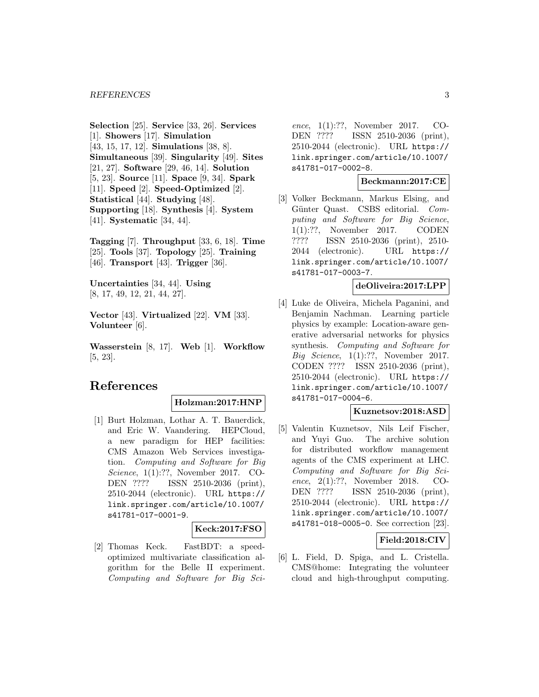**Selection** [25]. **Service** [33, 26]. **Services** [1]. **Showers** [17]. **Simulation** [43, 15, 17, 12]. **Simulations** [38, 8]. **Simultaneous** [39]. **Singularity** [49]. **Sites** [21, 27]. **Software** [29, 46, 14]. **Solution** [5, 23]. **Source** [11]. **Space** [9, 34]. **Spark** [11]. **Speed** [2]. **Speed-Optimized** [2]. **Statistical** [44]. **Studying** [48]. **Supporting** [18]. **Synthesis** [4]. **System** [41]. **Systematic** [34, 44].

**Tagging** [7]. **Throughput** [33, 6, 18]. **Time** [25]. **Tools** [37]. **Topology** [25]. **Training** [46]. **Transport** [43]. **Trigger** [36].

**Uncertainties** [34, 44]. **Using** [8, 17, 49, 12, 21, 44, 27].

**Vector** [43]. **Virtualized** [22]. **VM** [33]. **Volunteer** [6].

**Wasserstein** [8, 17]. **Web** [1]. **Workflow** [5, 23].

# **References**

#### **Holzman:2017:HNP**

[1] Burt Holzman, Lothar A. T. Bauerdick, and Eric W. Vaandering. HEPCloud, a new paradigm for HEP facilities: CMS Amazon Web Services investigation. Computing and Software for Big Science, 1(1):??, November 2017. CO-DEN ???? ISSN 2510-2036 (print), 2510-2044 (electronic). URL https:// link.springer.com/article/10.1007/ s41781-017-0001-9.

#### **Keck:2017:FSO**

[2] Thomas Keck. FastBDT: a speedoptimized multivariate classification algorithm for the Belle II experiment. Computing and Software for Big Sci-

ence, 1(1):??, November 2017. CO-DEN ???? ISSN 2510-2036 (print), 2510-2044 (electronic). URL https:// link.springer.com/article/10.1007/ s41781-017-0002-8.

## **Beckmann:2017:CE**

[3] Volker Beckmann, Markus Elsing, and Günter Quast. CSBS editorial. Computing and Software for Big Science, 1(1):??, November 2017. CODEN ???? ISSN 2510-2036 (print), 2510- 2044 (electronic). URL https:// link.springer.com/article/10.1007/ s41781-017-0003-7.

# **deOliveira:2017:LPP**

[4] Luke de Oliveira, Michela Paganini, and Benjamin Nachman. Learning particle physics by example: Location-aware generative adversarial networks for physics synthesis. Computing and Software for Big Science,  $1(1):??$ , November 2017. CODEN ???? ISSN 2510-2036 (print), 2510-2044 (electronic). URL https:// link.springer.com/article/10.1007/ s41781-017-0004-6.

#### **Kuznetsov:2018:ASD**

[5] Valentin Kuznetsov, Nils Leif Fischer, and Yuyi Guo. The archive solution for distributed workflow management agents of the CMS experiment at LHC. Computing and Software for Big Science, 2(1):??, November 2018. CO-DEN ???? ISSN 2510-2036 (print), 2510-2044 (electronic). URL https:// link.springer.com/article/10.1007/ s41781-018-0005-0. See correction [23].

# **Field:2018:CIV**

[6] L. Field, D. Spiga, and L. Cristella. CMS@home: Integrating the volunteer cloud and high-throughput computing.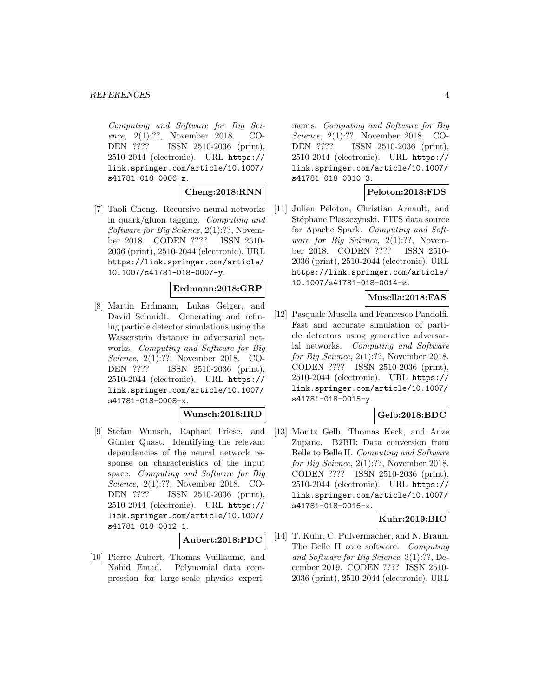Computing and Software for Big Science, 2(1):??, November 2018. CO-DEN ???? ISSN 2510-2036 (print), 2510-2044 (electronic). URL https:// link.springer.com/article/10.1007/ s41781-018-0006-z.

## **Cheng:2018:RNN**

[7] Taoli Cheng. Recursive neural networks in quark/gluon tagging. Computing and Software for Big Science, 2(1):??, November 2018. CODEN ???? ISSN 2510- 2036 (print), 2510-2044 (electronic). URL https://link.springer.com/article/ 10.1007/s41781-018-0007-y.

#### **Erdmann:2018:GRP**

[8] Martin Erdmann, Lukas Geiger, and David Schmidt. Generating and refining particle detector simulations using the Wasserstein distance in adversarial networks. Computing and Software for Big Science, 2(1):??, November 2018. CO-DEN ???? ISSN 2510-2036 (print), 2510-2044 (electronic). URL https:// link.springer.com/article/10.1007/ s41781-018-0008-x.

# **Wunsch:2018:IRD**

[9] Stefan Wunsch, Raphael Friese, and Günter Quast. Identifying the relevant dependencies of the neural network response on characteristics of the input space. Computing and Software for Big Science, 2(1):??, November 2018. CO-DEN ???? ISSN 2510-2036 (print), 2510-2044 (electronic). URL https:// link.springer.com/article/10.1007/ s41781-018-0012-1.

#### **Aubert:2018:PDC**

[10] Pierre Aubert, Thomas Vuillaume, and Nahid Emad. Polynomial data compression for large-scale physics experiments. Computing and Software for Big Science, 2(1):??, November 2018. CO-DEN ???? ISSN 2510-2036 (print), 2510-2044 (electronic). URL https:// link.springer.com/article/10.1007/ s41781-018-0010-3.

# **Peloton:2018:FDS**

[11] Julien Peloton, Christian Arnault, and Stéphane Plaszczynski. FITS data source for Apache Spark. Computing and Software for Big Science,  $2(1)$ :??, November 2018. CODEN ???? ISSN 2510- 2036 (print), 2510-2044 (electronic). URL https://link.springer.com/article/ 10.1007/s41781-018-0014-z.

## **Musella:2018:FAS**

[12] Pasquale Musella and Francesco Pandolfi. Fast and accurate simulation of particle detectors using generative adversarial networks. Computing and Software for Big Science, 2(1):??, November 2018. CODEN ???? ISSN 2510-2036 (print), 2510-2044 (electronic). URL https:// link.springer.com/article/10.1007/ s41781-018-0015-y.

## **Gelb:2018:BDC**

[13] Moritz Gelb, Thomas Keck, and Anze Zupanc. B2BII: Data conversion from Belle to Belle II. Computing and Software for Big Science, 2(1):??, November 2018. CODEN ???? ISSN 2510-2036 (print), 2510-2044 (electronic). URL https:// link.springer.com/article/10.1007/ s41781-018-0016-x.

## **Kuhr:2019:BIC**

[14] T. Kuhr, C. Pulvermacher, and N. Braun. The Belle II core software. Computing and Software for Big Science, 3(1):??, December 2019. CODEN ???? ISSN 2510- 2036 (print), 2510-2044 (electronic). URL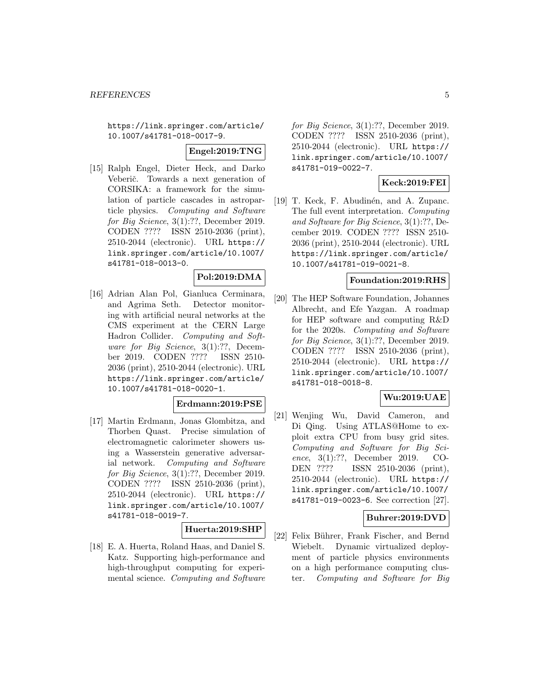https://link.springer.com/article/ 10.1007/s41781-018-0017-9.

#### **Engel:2019:TNG**

[15] Ralph Engel, Dieter Heck, and Darko Veberič. Towards a next generation of CORSIKA: a framework for the simulation of particle cascades in astroparticle physics. Computing and Software for Big Science, 3(1):??, December 2019. CODEN ???? ISSN 2510-2036 (print), 2510-2044 (electronic). URL https:// link.springer.com/article/10.1007/ s41781-018-0013-0.

# **Pol:2019:DMA**

[16] Adrian Alan Pol, Gianluca Cerminara, and Agrima Seth. Detector monitoring with artificial neural networks at the CMS experiment at the CERN Large Hadron Collider. Computing and Software for Big Science, 3(1):??, December 2019. CODEN ???? ISSN 2510- 2036 (print), 2510-2044 (electronic). URL https://link.springer.com/article/ 10.1007/s41781-018-0020-1.

#### **Erdmann:2019:PSE**

[17] Martin Erdmann, Jonas Glombitza, and Thorben Quast. Precise simulation of electromagnetic calorimeter showers using a Wasserstein generative adversarial network. Computing and Software for Big Science, 3(1):??, December 2019. CODEN ???? ISSN 2510-2036 (print), 2510-2044 (electronic). URL https:// link.springer.com/article/10.1007/ s41781-018-0019-7.

#### **Huerta:2019:SHP**

[18] E. A. Huerta, Roland Haas, and Daniel S. Katz. Supporting high-performance and high-throughput computing for experimental science. Computing and Software for Big Science, 3(1):??, December 2019. CODEN ???? ISSN 2510-2036 (print), 2510-2044 (electronic). URL https:// link.springer.com/article/10.1007/ s41781-019-0022-7.

#### **Keck:2019:FEI**

[19] T. Keck, F. Abudinén, and A. Zupanc. The full event interpretation. Computing and Software for Big Science, 3(1):??, December 2019. CODEN ???? ISSN 2510- 2036 (print), 2510-2044 (electronic). URL https://link.springer.com/article/ 10.1007/s41781-019-0021-8.

#### **Foundation:2019:RHS**

[20] The HEP Software Foundation, Johannes Albrecht, and Efe Yazgan. A roadmap for HEP software and computing R&D for the 2020s. Computing and Software for Big Science, 3(1):??, December 2019. CODEN ???? ISSN 2510-2036 (print), 2510-2044 (electronic). URL https:// link.springer.com/article/10.1007/ s41781-018-0018-8.

#### **Wu:2019:UAE**

[21] Wenjing Wu, David Cameron, and Di Qing. Using ATLAS@Home to exploit extra CPU from busy grid sites. Computing and Software for Big Science, 3(1):??, December 2019. CO-DEN ???? ISSN 2510-2036 (print), 2510-2044 (electronic). URL https:// link.springer.com/article/10.1007/ s41781-019-0023-6. See correction [27].

## **Buhrer:2019:DVD**

[22] Felix Bührer, Frank Fischer, and Bernd Wiebelt. Dynamic virtualized deployment of particle physics environments on a high performance computing cluster. Computing and Software for Big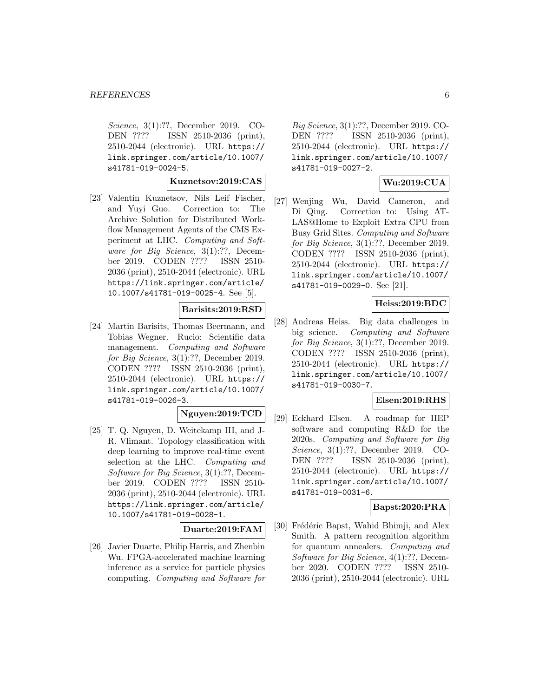Science, 3(1):??, December 2019. CO-DEN ???? ISSN 2510-2036 (print), 2510-2044 (electronic). URL https:// link.springer.com/article/10.1007/ s41781-019-0024-5.

#### **Kuznetsov:2019:CAS**

[23] Valentin Kuznetsov, Nils Leif Fischer, and Yuyi Guo. Correction to: The Archive Solution for Distributed Workflow Management Agents of the CMS Experiment at LHC. Computing and Software for Big Science, 3(1):??, December 2019. CODEN ???? ISSN 2510- 2036 (print), 2510-2044 (electronic). URL https://link.springer.com/article/ 10.1007/s41781-019-0025-4. See [5].

## **Barisits:2019:RSD**

[24] Martin Barisits, Thomas Beermann, and Tobias Wegner. Rucio: Scientific data management. Computing and Software for Big Science, 3(1):??, December 2019. CODEN ???? ISSN 2510-2036 (print), 2510-2044 (electronic). URL https:// link.springer.com/article/10.1007/ s41781-019-0026-3.

# **Nguyen:2019:TCD**

[25] T. Q. Nguyen, D. Weitekamp III, and J-R. Vlimant. Topology classification with deep learning to improve real-time event selection at the LHC. Computing and Software for Big Science, 3(1):??, December 2019. CODEN ???? ISSN 2510- 2036 (print), 2510-2044 (electronic). URL https://link.springer.com/article/ 10.1007/s41781-019-0028-1.

## **Duarte:2019:FAM**

[26] Javier Duarte, Philip Harris, and Zhenbin Wu. FPGA-accelerated machine learning inference as a service for particle physics computing. Computing and Software for

Big Science, 3(1):??, December 2019. CO-DEN ???? ISSN 2510-2036 (print), 2510-2044 (electronic). URL https:// link.springer.com/article/10.1007/ s41781-019-0027-2.

## **Wu:2019:CUA**

[27] Wenjing Wu, David Cameron, and Di Qing. Correction to: Using AT-LAS@Home to Exploit Extra CPU from Busy Grid Sites. Computing and Software for Big Science, 3(1):??, December 2019. CODEN ???? ISSN 2510-2036 (print), 2510-2044 (electronic). URL https:// link.springer.com/article/10.1007/ s41781-019-0029-0. See [21].

# **Heiss:2019:BDC**

[28] Andreas Heiss. Big data challenges in big science. Computing and Software for Big Science, 3(1):??, December 2019. CODEN ???? ISSN 2510-2036 (print), 2510-2044 (electronic). URL https:// link.springer.com/article/10.1007/ s41781-019-0030-7.

# **Elsen:2019:RHS**

[29] Eckhard Elsen. A roadmap for HEP software and computing R&D for the 2020s. Computing and Software for Big Science, 3(1):??, December 2019. CO-DEN ???? ISSN 2510-2036 (print), 2510-2044 (electronic). URL https:// link.springer.com/article/10.1007/ s41781-019-0031-6.

# **Bapst:2020:PRA**

[30] Frédéric Bapst, Wahid Bhimji, and Alex Smith. A pattern recognition algorithm for quantum annealers. Computing and Software for Big Science, 4(1):??, December 2020. CODEN ???? ISSN 2510- 2036 (print), 2510-2044 (electronic). URL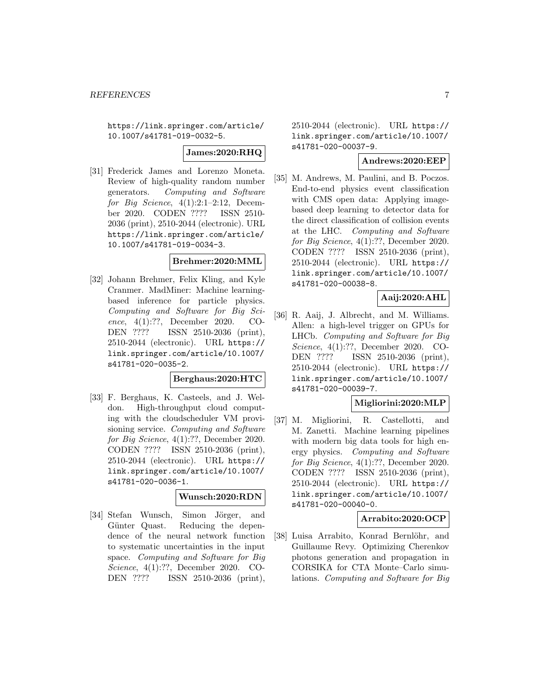https://link.springer.com/article/ 10.1007/s41781-019-0032-5.

## **James:2020:RHQ**

[31] Frederick James and Lorenzo Moneta. Review of high-quality random number generators. Computing and Software for Big Science,  $4(1):2:1-2:12$ , December 2020. CODEN ???? ISSN 2510- 2036 (print), 2510-2044 (electronic). URL https://link.springer.com/article/ 10.1007/s41781-019-0034-3.

# **Brehmer:2020:MML**

[32] Johann Brehmer, Felix Kling, and Kyle Cranmer. MadMiner: Machine learningbased inference for particle physics. Computing and Software for Big Science, 4(1):??, December 2020. CO-DEN ???? ISSN 2510-2036 (print), 2510-2044 (electronic). URL https:// link.springer.com/article/10.1007/ s41781-020-0035-2.

# **Berghaus:2020:HTC**

[33] F. Berghaus, K. Casteels, and J. Weldon. High-throughput cloud computing with the cloudscheduler VM provisioning service. Computing and Software for Big Science, 4(1):??, December 2020. CODEN ???? ISSN 2510-2036 (print), 2510-2044 (electronic). URL https:// link.springer.com/article/10.1007/ s41781-020-0036-1.

#### **Wunsch:2020:RDN**

[34] Stefan Wunsch, Simon Jörger, and Günter Quast. Reducing the dependence of the neural network function to systematic uncertainties in the input space. Computing and Software for Big Science, 4(1):??, December 2020. CO-DEN ???? ISSN 2510-2036 (print),

2510-2044 (electronic). URL https:// link.springer.com/article/10.1007/ s41781-020-00037-9.

# **Andrews:2020:EEP**

[35] M. Andrews, M. Paulini, and B. Poczos. End-to-end physics event classification with CMS open data: Applying imagebased deep learning to detector data for the direct classification of collision events at the LHC. Computing and Software for Big Science, 4(1):??, December 2020. CODEN ???? ISSN 2510-2036 (print), 2510-2044 (electronic). URL https:// link.springer.com/article/10.1007/ s41781-020-00038-8.

# **Aaij:2020:AHL**

[36] R. Aaij, J. Albrecht, and M. Williams. Allen: a high-level trigger on GPUs for LHCb. Computing and Software for Big Science, 4(1):??, December 2020. CO-DEN ???? ISSN 2510-2036 (print), 2510-2044 (electronic). URL https:// link.springer.com/article/10.1007/ s41781-020-00039-7.

#### **Migliorini:2020:MLP**

[37] M. Migliorini, R. Castellotti, and M. Zanetti. Machine learning pipelines with modern big data tools for high energy physics. Computing and Software for Big Science, 4(1):??, December 2020. CODEN ???? ISSN 2510-2036 (print), 2510-2044 (electronic). URL https:// link.springer.com/article/10.1007/ s41781-020-00040-0.

#### **Arrabito:2020:OCP**

[38] Luisa Arrabito, Konrad Bernlöhr, and Guillaume Revy. Optimizing Cherenkov photons generation and propagation in CORSIKA for CTA Monte–Carlo simulations. Computing and Software for Big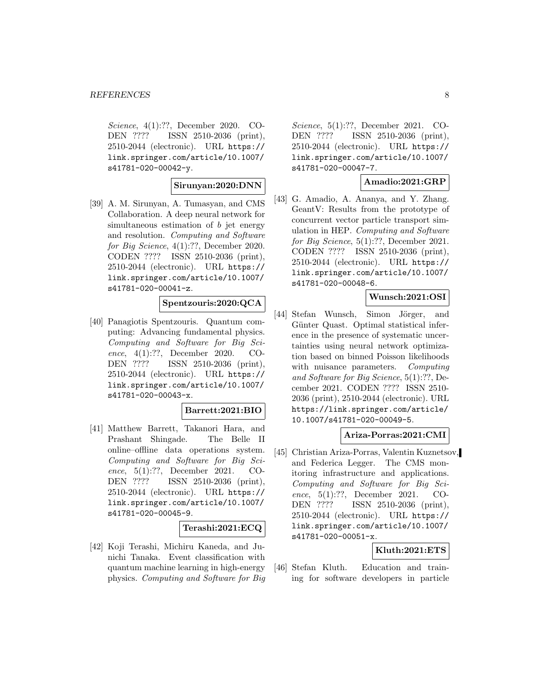Science, 4(1):??, December 2020. CO-DEN ???? ISSN 2510-2036 (print), 2510-2044 (electronic). URL https:// link.springer.com/article/10.1007/ s41781-020-00042-y.

## **Sirunyan:2020:DNN**

[39] A. M. Sirunyan, A. Tumasyan, and CMS Collaboration. A deep neural network for simultaneous estimation of b jet energy and resolution. Computing and Software for Big Science, 4(1):??, December 2020. CODEN ???? ISSN 2510-2036 (print), 2510-2044 (electronic). URL https:// link.springer.com/article/10.1007/ s41781-020-00041-z.

#### **Spentzouris:2020:QCA**

[40] Panagiotis Spentzouris. Quantum computing: Advancing fundamental physics. Computing and Software for Big Science, 4(1):??, December 2020. CO-DEN ???? ISSN 2510-2036 (print), 2510-2044 (electronic). URL https:// link.springer.com/article/10.1007/ s41781-020-00043-x.

## **Barrett:2021:BIO**

[41] Matthew Barrett, Takanori Hara, and Prashant Shingade. The Belle II online–offline data operations system. Computing and Software for Big Science, 5(1):??, December 2021. CO-DEN ???? ISSN 2510-2036 (print), 2510-2044 (electronic). URL https:// link.springer.com/article/10.1007/ s41781-020-00045-9.

#### **Terashi:2021:ECQ**

[42] Koji Terashi, Michiru Kaneda, and Junichi Tanaka. Event classification with quantum machine learning in high-energy physics. Computing and Software for Big

Science, 5(1):??, December 2021. CO-DEN ???? ISSN 2510-2036 (print), 2510-2044 (electronic). URL https:// link.springer.com/article/10.1007/ s41781-020-00047-7.

## **Amadio:2021:GRP**

[43] G. Amadio, A. Ananya, and Y. Zhang. GeantV: Results from the prototype of concurrent vector particle transport simulation in HEP. Computing and Software for Big Science, 5(1):??, December 2021. CODEN ???? ISSN 2510-2036 (print), 2510-2044 (electronic). URL https:// link.springer.com/article/10.1007/ s41781-020-00048-6.

## **Wunsch:2021:OSI**

[44] Stefan Wunsch, Simon Jörger, and Günter Quast. Optimal statistical inference in the presence of systematic uncertainties using neural network optimization based on binned Poisson likelihoods with nuisance parameters. Computing and Software for Big Science, 5(1):??, December 2021. CODEN ???? ISSN 2510- 2036 (print), 2510-2044 (electronic). URL https://link.springer.com/article/ 10.1007/s41781-020-00049-5.

#### **Ariza-Porras:2021:CMI**

[45] Christian Ariza-Porras, Valentin Kuznetsov, and Federica Legger. The CMS monitoring infrastructure and applications. Computing and Software for Big Science, 5(1):??, December 2021. CO-DEN ???? ISSN 2510-2036 (print), 2510-2044 (electronic). URL https:// link.springer.com/article/10.1007/ s41781-020-00051-x.

## **Kluth:2021:ETS**

[46] Stefan Kluth. Education and training for software developers in particle